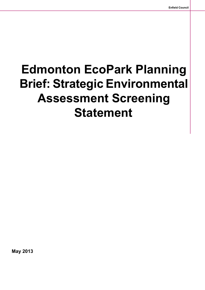**May 2013**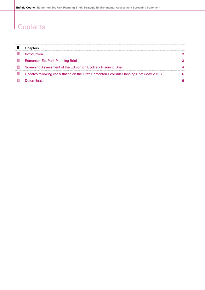## **Contents**

 $\mathsf{l}$ 

|                 | Introduction                                                                           |  |
|-----------------|----------------------------------------------------------------------------------------|--|
| 2               | <b>Edmonton EcoPark Planning Brief</b>                                                 |  |
| 3               | Screening Assessment of the Edmonton EcoPark Planning Brief                            |  |
| $\vert 4 \vert$ | Updates following consultation on the Draft Edmonton EcoPark Planning Brief (May 2013) |  |
|                 | Determination                                                                          |  |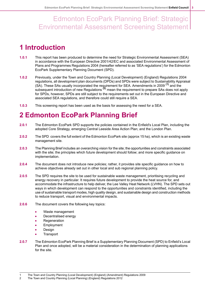#### <span id="page-2-0"></span>**1 Introduction**

- **1.0.1** This report has been produced to determine the need for Strategic Environmental Assessment (SEA) in accordance with the European Directive 2001/42/EC and associated Environmental Assessment of Plans and Programmes Regulations 2004 (hereafter referred to as 'SEA regulations') for the Edmonton EcoPark Supplementary Planning Document (SPD).
- **1.0.2** Previously, under the Town and Country Planning (Local Development) (England) Regulations 2004 regulations, all development plan documents (DPDs) and SPDs were subject to Sustainability Appraisal (SA). These SAs usually incorporated the requirement for SEA. Amendments in 2009 **(1)** and the subsequent introduction of new Regulations **(2)** mean the requirement to prepare SAs does not apply for SPDs, however, SPDs are still subject to the requirements set out in the European Directive and associated SEA regulations, and therefore could still require a SEA.
- <span id="page-2-1"></span>**1.0.3** This screening report has been used as the basis for assessing the need for a SEA.

#### **2 Edmonton EcoPark Planning Brief**

- **2.0.1** The Edmonton EcoPark SPD supports the policies contained in the Enfield's Local Plan, including the adopted Core Strategy, emerging Central Leeside Area Action Plan; and the London Plan.
- **2.0.2** The SPD covers the full extent of the Edmonton EcoPark site (approx 15 ha), which is an existing waste management site.
- 2.0.3 The Planning Brief includes an overarching vision for the site; the opportunities and constraints associated with the site; the principles which future development should follow; and more specific guidance on implementation.
- **2.0.4** The document does not introduce new policies; rather, it provides site specific guidance on how to achieve objectives already set out in other local and sub regional planning policy.
- **2.0.5** The SPD requires the site to be used for sustainable waste management, prioritising recycling and energy recovery in particular. It requires future development to provide the heat source for, and accommodate the infrastructure to help deliver, the Lee Valley Heat Network (LVHN). The SPD sets out ways in which development can respond to the opportunities and constraints identified, including the use of sustainable transport modes, high quality design, and sustainable design and construction methods to reduce transport, visual and environmental impacts.
- **2.0.6** The document covers the following key topics:
	- Waste management
	- $\overline{\phantom{a}}$ Decentralised energy
	- **Regeneration**
	- Employment
	- $\blacksquare$ Design
	- **Transport**
- **2.0.7** The Edmonton EcoPark Planning Brief is a Supplementary Planning Document (SPD) to Enfield's Local Plan and once adopted, will be a material consideration in the determination of planning applications for the site.

<sup>2</sup> The Town and Country Planning (Local Planning) (England) Regulations 2012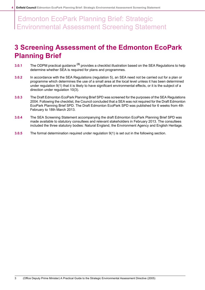#### <span id="page-3-0"></span>**3 Screening Assessment of the Edmonton EcoPark Planning Brief**

- **3.0.1** The ODPM practical guidance **(3)** provides a checklist illustration based on the SEA Regulations to help determine whether SEA is required for plans and programmes.
- **3.0.2** In accordance with the SEA Regulations (regulation 5), an SEA need not be carried out for a plan or programme which determines the use of a small area at the local level unless it has been determined under regulation 9(1) that it is likely to have significant environmental effects, or it is the subject of a direction under regulation 10(3).
- **3.0.3** The Draft Edmonton EcoPark Planning Brief SPD was screened for the purposes of the SEA Regulations 2004. Following the checklist, the Council concluded that a SEA was not required for the Draft Edmonton EcoPark Planning Brief SPD. The Draft Edmonton EcoPark SPD was published for 6 weeks from 4th February to 18th March 2013.
- **3.0.4** The SEA Screening Statement accompanying the draft Edmonton EcoPark Planning Brief SPD was made available to statutory consultees and relevant stakeholders in February 2013. The consultees included the three statutory bodies: Natural England, the Environment Agency and English Heritage.
- **3.0.5** The formal determination required under regulation 9(1) is set out in the following section.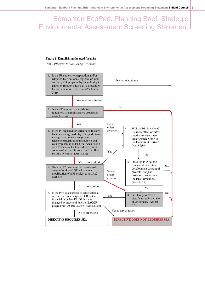#### Figure 1: Establishing the need for a SA

(Note: PP refers to plans and programmes)

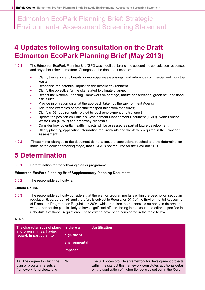#### <span id="page-5-0"></span>**4 Updates following consultation on the Draft Edmonton EcoPark Planning Brief (May 2013)**

- **4.0.1** The Edmonton EcoPark Planning Brief SPD was modified, takingintoaccount theconsultationresponses and any other relevant matters. Changes to the document seek to:
	- Clarify the trends and targets for municipal waste arisings, and reference commercial and industrial waste;
	- Recognise the potential impact on the historic environment;
	- Clarify the objective for the site related to climate change;
	- Reflect the National Planning Framework on heritage, nature conservation, green belt and flood risk issues;
	- Provide information on what the approach taken by the Environment Agency;
	- Add to the examples of potential transport mitigation measures;
	- Clarify s106 requirements related to local employment and transport
	- Update the position on Enfield's Development Management Document (DMD), North London Waste Plan (NLWP) and greenway proposals;
	- Consider how potential health impacts will be assessed as part of future development;
	- Clarify planning application information requirements and the details required in the Transport Assessment;
- <span id="page-5-1"></span>**4.0.2** These minor changes to the document do not affect the conclusions reached and the determination made at the earlier screening stage, that a SEA is not required for the EcoPark SPD.

#### **5 Determination**

**5.0.1** Determination for the following plan or programme:

#### **Edmonton EcoPark Planning Brief Supplementary Planning Document**

**5.0.2** The responsible authority is:

#### **Enfield Council**

**5.0.3** The responsible authority considers that the plan or programme falls within the description set out in regulation 5, paragraph (6) and therefore is subject to Regulation 9(1) of the Environmental Assessment of Plans and Programmes Regulations 2004, which requires the responsible authority to determine whether or not the plan is likely to have significant effects, taking into account the criteria specified in Schedule 1 of those Regulations. These criteria have been considered in the table below.

#### Table 5.1

| The characteristics of plans<br>and programmes, having<br>regard, in particular, to:  | Is there a<br>significant<br>environmental<br>impact? | <b>Justification</b>                                                                                                                                                                            |
|---------------------------------------------------------------------------------------|-------------------------------------------------------|-------------------------------------------------------------------------------------------------------------------------------------------------------------------------------------------------|
| 1a) The degree to which the<br>plan or programme sets a<br>framework for projects and | <b>No</b>                                             | The SPD does provide a framework for development projects<br>within the site but this framework constitutes additional detail<br>on the application of higher tier policies set out in the Core |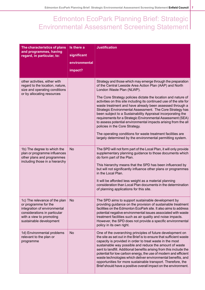| The characteristics of plans<br>and programmes, having<br>regard, in particular, to:                                                                                         | Is there a<br>significant<br>environmental<br>impact? | <b>Justification</b>                                                                                                                                                                                                                                                                                                                                                                                                                                                                                                                                                                                                                                                                                                                                                                 |
|------------------------------------------------------------------------------------------------------------------------------------------------------------------------------|-------------------------------------------------------|--------------------------------------------------------------------------------------------------------------------------------------------------------------------------------------------------------------------------------------------------------------------------------------------------------------------------------------------------------------------------------------------------------------------------------------------------------------------------------------------------------------------------------------------------------------------------------------------------------------------------------------------------------------------------------------------------------------------------------------------------------------------------------------|
| other activities, either with<br>regard to the location, nature,<br>size and operating conditions<br>or by allocating resources                                              |                                                       | Strategy and those which may emerge through the preparation<br>of the Central Leeside Area Action Plan (AAP) and North<br>London Waste Plan (NLWP).<br>The Core Strategy policies dictate the location and nature of<br>activities on this site including its continued use of the site for<br>waste treatment and have already been assessed through a<br>Strategic Environmental Assessment. The Core Strategy has<br>been subject to a Sustainability Appraisal incorporating the<br>requirements for a Strategic Environmental Assessment (SEA)<br>to assess potential environmental impacts arising from the all<br>policies in the Core Strategy.<br>The operating conditions for waste treatment facilities are<br>largely determined by the environmental permitting system. |
| 1b) The degree to which the<br>plan or programme influences<br>other plans and programmes<br>including those in a hierarchy                                                  | <b>No</b>                                             | The SPD will not form part of the Local Plan, it will only provide<br>supplementary planning guidance to those documents which<br>do form part of the Plan.<br>This hierarchy means that the SPD has been influenced by<br>but will not significantly influence other plans or programmes<br>in the Local Plan.<br>It will be afforded less weight as a material planning<br>consideration than Local Plan documents in the determination<br>of planning applications for this site.                                                                                                                                                                                                                                                                                                 |
| 1c) The relevance of the plan<br>or programme for the<br>integration of environmental<br>considerations in particular<br>with a view to promoting<br>sustainable development | <b>No</b>                                             | The SPD aims to support sustainable development by<br>providing guidance on the provision of sustainable treatment<br>facilities on the Edmonton EcoPark site. It also aims to address<br>potential negative environmental issues associated with waste<br>treatment facilities such as air quality and noise impacts.<br>However, the SPD does not provide a specific environmental<br>policy in its own right.                                                                                                                                                                                                                                                                                                                                                                     |
| 1d) Environmental problems<br>relevant to the plan or<br>programme                                                                                                           | <b>No</b>                                             | One of the overarching principles of future development on<br>the site as set out in the Brief is to ensure that sufficient waste<br>capacity is provided in order to treat waste in the most<br>sustainable way possible and reduce the amount of waste<br>sent to landfill. Additional benefits arising from this include the<br>potential for low carbon energy, the use of modern and efficient<br>waste technologies which deliver environmental benefits, and<br>opportunities for more sustainable transport. Therefore, the<br>Brief should have a positive overall impact on the environment.                                                                                                                                                                               |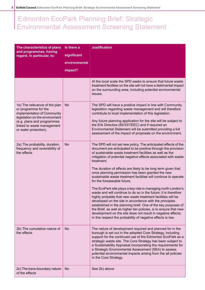| The characteristics of plans<br>and programmes, having                                                                                                                                                      | Is there a    | <b>Justification</b>                                                                                                                                                                                                                                                                                                                                                                                                                                                                                                                                                                                                                                                                                                                                                                                                                                                                                                                                                    |
|-------------------------------------------------------------------------------------------------------------------------------------------------------------------------------------------------------------|---------------|-------------------------------------------------------------------------------------------------------------------------------------------------------------------------------------------------------------------------------------------------------------------------------------------------------------------------------------------------------------------------------------------------------------------------------------------------------------------------------------------------------------------------------------------------------------------------------------------------------------------------------------------------------------------------------------------------------------------------------------------------------------------------------------------------------------------------------------------------------------------------------------------------------------------------------------------------------------------------|
| regard, in particular, to:                                                                                                                                                                                  | significant   |                                                                                                                                                                                                                                                                                                                                                                                                                                                                                                                                                                                                                                                                                                                                                                                                                                                                                                                                                                         |
|                                                                                                                                                                                                             | environmental |                                                                                                                                                                                                                                                                                                                                                                                                                                                                                                                                                                                                                                                                                                                                                                                                                                                                                                                                                                         |
|                                                                                                                                                                                                             | impact?       |                                                                                                                                                                                                                                                                                                                                                                                                                                                                                                                                                                                                                                                                                                                                                                                                                                                                                                                                                                         |
|                                                                                                                                                                                                             |               | At the local scale the SPD seeks to ensure that future waste<br>treatment facilities on the site will not have a detrimental impact<br>on the surrounding area, including potential environmental<br>issues.                                                                                                                                                                                                                                                                                                                                                                                                                                                                                                                                                                                                                                                                                                                                                            |
| 1e) The relevance of the plan<br>or programme for the<br>implementation of Community<br>legislation on the environment<br>(e.g. plans and programmes<br>linked to waste management<br>or water protection). | <b>No</b>     | The SPD will have a positive impact in line with Community<br>legislation regarding waste management and will therefore<br>contribute to local implementation of this legislation.<br>Any future planning application for the site will be subject to<br>the EIA Directive (85/337/EEC) and if required an<br>Environmental Statement will be submitted providing a full<br>assessment of the impact of proposals on the environment.                                                                                                                                                                                                                                                                                                                                                                                                                                                                                                                                   |
| 2a) The probability, duration,<br>frequency and reversibility of<br>the effects                                                                                                                             | <b>No</b>     | The SPD will not set new policy. The anticipated effects of the<br>document are anticipated to be positive through the provision<br>of sustainable waste treatment facilities as well as the<br>mitigation of potential negative effects associated with waste<br>treatment.<br>The duration of effects are likely to be long term given that<br>once planning permission has been granted the new<br>sustainable waste treatment facilities will continue to operate<br>for the foreseeable future.<br>The EcoPark site plays a key role in managing north London's<br>waste and will continue to do so in the future; it is therefore<br>highly probable that new waste treatment facilities will be<br>developed on the site in accordance with the principles<br>established in the planning brief. One of the key purposes of<br>the Brief, as well as higher tier policies, is to ensure that new<br>development on the site does not result in negative effects; |
|                                                                                                                                                                                                             |               | in this respect the probability of negative effects is low.                                                                                                                                                                                                                                                                                                                                                                                                                                                                                                                                                                                                                                                                                                                                                                                                                                                                                                             |
| 2b) The cumulative nature of<br>the effects                                                                                                                                                                 | <b>No</b>     | The nature of development required and planned for in the<br>borough is set out in the adopted Core Strategy, including<br>support for the continued use of the Edmonton EcoPark as a<br>strategic waste site. The Core Strategy has been subject to<br>a Sustainability Appraisal incorporating the requirements for<br>a Strategic Environmental Assessment (SEA) to assess<br>potential environmental impacts arising from the all policies<br>in the Core Strategy.                                                                                                                                                                                                                                                                                                                                                                                                                                                                                                 |
| 2c) The trans-boundary nature<br>of the effects                                                                                                                                                             | <b>No</b>     | See 2b) above                                                                                                                                                                                                                                                                                                                                                                                                                                                                                                                                                                                                                                                                                                                                                                                                                                                                                                                                                           |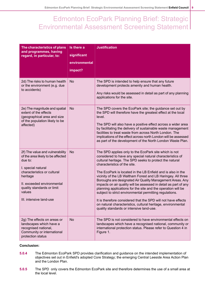| The characteristics of plans<br>and programmes, having<br>regard, in particular, to:                                                                                                                                                              | Is there a<br>significant | <b>Justification</b>                                                                                                                                                                                                                                                                                                                                                                                                                                                                                                                                                                                                                                                                                                                                                                  |
|---------------------------------------------------------------------------------------------------------------------------------------------------------------------------------------------------------------------------------------------------|---------------------------|---------------------------------------------------------------------------------------------------------------------------------------------------------------------------------------------------------------------------------------------------------------------------------------------------------------------------------------------------------------------------------------------------------------------------------------------------------------------------------------------------------------------------------------------------------------------------------------------------------------------------------------------------------------------------------------------------------------------------------------------------------------------------------------|
|                                                                                                                                                                                                                                                   | environmental<br>impact?  |                                                                                                                                                                                                                                                                                                                                                                                                                                                                                                                                                                                                                                                                                                                                                                                       |
| 2d) The risks to human health<br>or the environment (e.g. due<br>to accidents)                                                                                                                                                                    | <b>No</b>                 | The SPD is intended to help ensure that any future<br>development protects amenity and human health.<br>Any risks would be assessed in detail as part of any planning<br>applications for the site.                                                                                                                                                                                                                                                                                                                                                                                                                                                                                                                                                                                   |
| 2e) The magnitude and spatial<br>extent of the effects<br>(geographical area and size<br>of the population likely to be<br>affected)                                                                                                              | <b>No</b>                 | The SPD covers the EcoPark site; the guidance set out by<br>the SPD will therefore have the greatest effect at the local<br>level.<br>The SPD will also have a positive effect across a wider area<br>by facilitating the delivery of sustainable waste management<br>facilities to treat waste from across North London. The<br>implications of the effect across north London will be assessed<br>as part of the development of the North London Waste Plan.                                                                                                                                                                                                                                                                                                                        |
| 2f) The value and vulnerability<br>of the area likely to be affected<br>due to:<br>I. special natural<br>characteristics or cultural<br>heritage<br>II. exceeded environmental<br>quality standards or limit<br>values<br>III. intensive land-use | <b>No</b>                 | The SPD applies only to the EcoPark site which is not<br>considered to have any special natural characteristics of<br>cultural heritage. The SPD seeks to protect the natural<br>characteristics of the site.<br>The EcoPark is located in the LB Enfield and is also in the<br>vicinity of the LB Waltham Forest and LB Haringey. All three<br>Boroughs are designated Air Quality Management Areas. Any<br>impacts on air quality will be assessed in detail as part of any<br>planning applications for the site and the operation will be<br>subject to strict environmental permitting regulations.<br>It is therefore considered that the SPD will not have effects<br>on natural characteristics, cultural heritage, environmental<br>quality standards or intensive land-use. |
| 2g) The effects on areas or<br>landscapes which have a<br>recognised national,<br>Community or international<br>protection status                                                                                                                 | <b>No</b>                 | The SPD is not considered to have environmental effects on<br>landscapes which have a recognised national, community or<br>international protection status. Please refer to Question 4 in<br>Figure 1.                                                                                                                                                                                                                                                                                                                                                                                                                                                                                                                                                                                |

#### **Conclusion:**

- **5.0.4** The Edmonton EcoPark SPD provides clarification and guidance on the intended implementation of objectives set out in Enfield's adopted Core Strategy; the emerging Central Leeside Area Action Plan and the London Plan.
- **5.0.5** The SPD only covers the Edmonton EcoPark site and therefore determines the use of a small area at the local level.